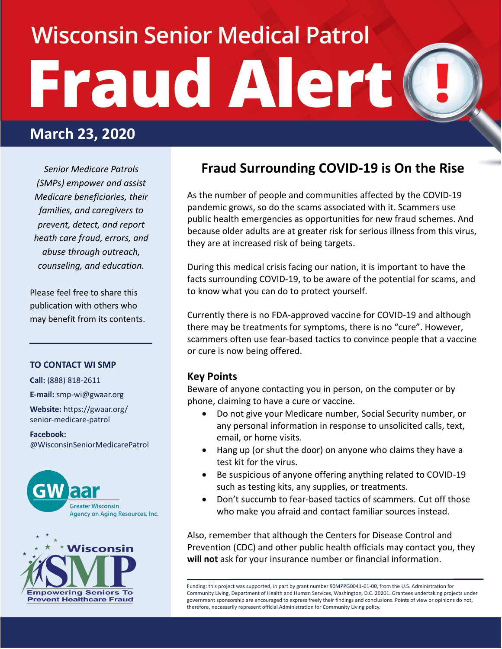# **Wisconsin Senior Medical Patrol Fraud Alert**

## **March 23, 2020**

*Senior Medicare Patrols (SMPs) empower and assist Medicare beneficiaries, their families, and caregivers to prevent, detect, and report heath care fraud, errors, and abuse through outreach, counseling, and education.*

Please feel free to share this publication with others who may benefit from its contents.

#### **TO CONTACT WI SMP**

**Call:** (888) 818-2611

**E-mail:** smp-wi@gwaar.org

**Website:** https://gwaar.org/ senior-medicare-patrol

**Facebook:** @WisconsinSeniorMedicarePatrol





### **Fraud Surrounding COVID-19 is On the Rise**

As the number of people and communities affected by the COVID-19 pandemic grows, so do the scams associated with it. Scammers use public health emergencies as opportunities for new fraud schemes. And because older adults are at greater risk for serious illness from this virus, they are at increased risk of being targets.

During this medical crisis facing our nation, it is important to have the facts surrounding COVID-19, to be aware of the potential for scams, and to know what you can do to protect yourself.

Currently there is no FDA-approved vaccine for COVID-19 and although there may be treatments for symptoms, there is no "cure". However, scammers often use fear-based tactics to convince people that a vaccine or cure is now being offered.

#### **Key Points**

Beware of anyone contacting you in person, on the computer or by phone, claiming to have a cure or vaccine.

- Do not give your Medicare number, Social Security number, or any personal information in response to unsolicited calls, text, email, or home visits.
- Hang up (or shut the door) on anyone who claims they have a test kit for the virus.
- Be suspicious of anyone offering anything related to COVID-19 such as testing kits, any supplies, or treatments.
- Don't succumb to fear-based tactics of scammers. Cut off those who make you afraid and contact familiar sources instead.

Also, remember that although the Centers for Disease Control and Prevention (CDC) and other public health officials may contact you, they **will not** ask for your insurance number or financial information.

Funding: this project was supported, in part by grant number 90MPPG0041-01-00, from the U.S. Administration for Community Living, Department of Health and Human Services, Washington, D.C. 20201. Grantees undertaking projects under government sponsorship are encouraged to express freely their findings and conclusions. Points of view or opinions do not, therefore, necessarily represent official Administration for Community Living policy.